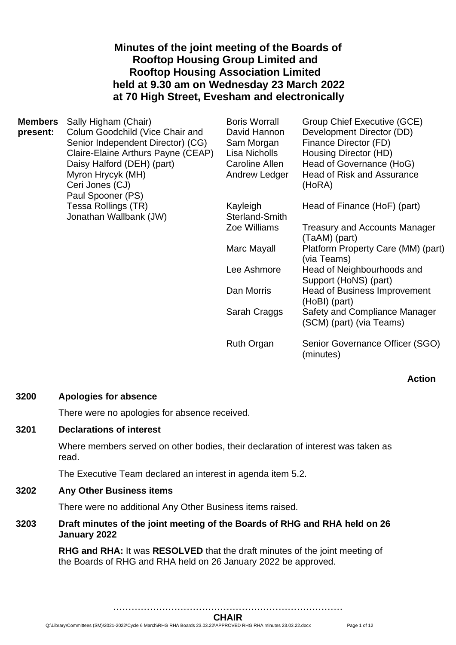## **Minutes of the joint meeting of the Boards of Rooftop Housing Group Limited and Rooftop Housing Association Limited held at 9.30 am on Wednesday 23 March 2022 at 70 High Street, Evesham and electronically**

| <b>Members</b> | Sally Higham (Chair)                          | <b>Boris Worrall</b>              | Group Chief Executive (GCE)                               |
|----------------|-----------------------------------------------|-----------------------------------|-----------------------------------------------------------|
| present:       | Colum Goodchild (Vice Chair and               | David Hannon                      | Development Director (DD)                                 |
|                | Senior Independent Director) (CG)             | Sam Morgan                        | Finance Director (FD)                                     |
|                | Claire-Elaine Arthurs Payne (CEAP)            | Lisa Nicholls                     | Housing Director (HD)                                     |
|                | Daisy Halford (DEH) (part)                    | Caroline Allen                    | Head of Governance (HoG)                                  |
|                | Myron Hrycyk (MH)<br>Ceri Jones (CJ)          | Andrew Ledger                     | <b>Head of Risk and Assurance</b><br>(HoRA)               |
|                | Paul Spooner (PS)                             |                                   |                                                           |
|                | Tessa Rollings (TR)<br>Jonathan Wallbank (JW) | Kayleigh<br><b>Sterland-Smith</b> | Head of Finance (HoF) (part)                              |
|                |                                               | Zoe Williams                      | <b>Treasury and Accounts Manager</b><br>(TaAM) (part)     |
|                |                                               | Marc Mayall                       | Platform Property Care (MM) (part)<br>(via Teams)         |
|                |                                               | Lee Ashmore                       | Head of Neighbourhoods and<br>Support (HoNS) (part)       |
|                |                                               | Dan Morris                        | <b>Head of Business Improvement</b><br>(HoBI) (part)      |
|                |                                               | Sarah Craggs                      | Safety and Compliance Manager<br>(SCM) (part) (via Teams) |
|                |                                               | <b>Ruth Organ</b>                 | Senior Governance Officer (SGO)<br>(minutes)              |

## **Action**

### **3200 Apologies for absence**

There were no apologies for absence received.

### **3201 Declarations of interest**

Where members served on other bodies, their declaration of interest was taken as read.

The Executive Team declared an interest in agenda item 5.2.

### **3202 Any Other Business items**

There were no additional Any Other Business items raised.

## **3203 Draft minutes of the joint meeting of the Boards of RHG and RHA held on 26 January 2022**

**RHG and RHA:** It was **RESOLVED** that the draft minutes of the joint meeting of the Boards of RHG and RHA held on 26 January 2022 be approved.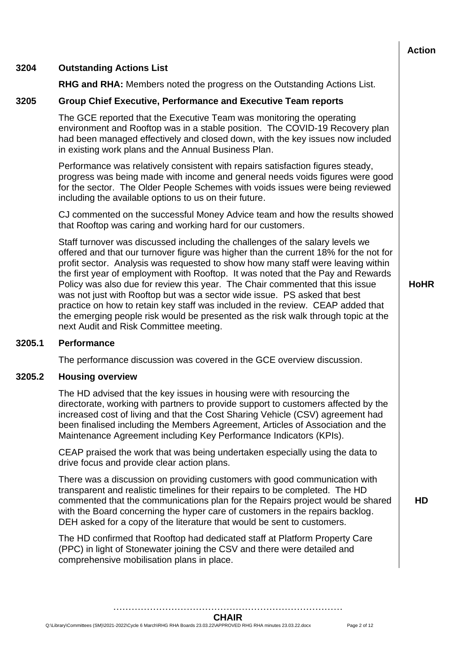|        |                                                                                                                                                                                                                                                                                                                                                                                                                                                                                                                                                                                                                                                                                                                               | <b>Action</b> |  |
|--------|-------------------------------------------------------------------------------------------------------------------------------------------------------------------------------------------------------------------------------------------------------------------------------------------------------------------------------------------------------------------------------------------------------------------------------------------------------------------------------------------------------------------------------------------------------------------------------------------------------------------------------------------------------------------------------------------------------------------------------|---------------|--|
| 3204   | <b>Outstanding Actions List</b>                                                                                                                                                                                                                                                                                                                                                                                                                                                                                                                                                                                                                                                                                               |               |  |
|        | <b>RHG and RHA:</b> Members noted the progress on the Outstanding Actions List.                                                                                                                                                                                                                                                                                                                                                                                                                                                                                                                                                                                                                                               |               |  |
| 3205   | <b>Group Chief Executive, Performance and Executive Team reports</b>                                                                                                                                                                                                                                                                                                                                                                                                                                                                                                                                                                                                                                                          |               |  |
|        | The GCE reported that the Executive Team was monitoring the operating<br>environment and Rooftop was in a stable position. The COVID-19 Recovery plan<br>had been managed effectively and closed down, with the key issues now included<br>in existing work plans and the Annual Business Plan.                                                                                                                                                                                                                                                                                                                                                                                                                               |               |  |
|        | Performance was relatively consistent with repairs satisfaction figures steady,<br>progress was being made with income and general needs voids figures were good<br>for the sector. The Older People Schemes with voids issues were being reviewed<br>including the available options to us on their future.                                                                                                                                                                                                                                                                                                                                                                                                                  |               |  |
|        | CJ commented on the successful Money Advice team and how the results showed<br>that Rooftop was caring and working hard for our customers.                                                                                                                                                                                                                                                                                                                                                                                                                                                                                                                                                                                    |               |  |
|        | Staff turnover was discussed including the challenges of the salary levels we<br>offered and that our turnover figure was higher than the current 18% for the not for<br>profit sector. Analysis was requested to show how many staff were leaving within<br>the first year of employment with Rooftop. It was noted that the Pay and Rewards<br>Policy was also due for review this year. The Chair commented that this issue<br>was not just with Rooftop but was a sector wide issue. PS asked that best<br>practice on how to retain key staff was included in the review. CEAP added that<br>the emerging people risk would be presented as the risk walk through topic at the<br>next Audit and Risk Committee meeting. | <b>HoHR</b>   |  |
| 3205.1 | Performance                                                                                                                                                                                                                                                                                                                                                                                                                                                                                                                                                                                                                                                                                                                   |               |  |
|        | The performance discussion was covered in the GCE overview discussion.                                                                                                                                                                                                                                                                                                                                                                                                                                                                                                                                                                                                                                                        |               |  |
| 3205.2 | <b>Housing overview</b>                                                                                                                                                                                                                                                                                                                                                                                                                                                                                                                                                                                                                                                                                                       |               |  |
|        | The HD advised that the key issues in housing were with resourcing the<br>directorate, working with partners to provide support to customers affected by the<br>increased cost of living and that the Cost Sharing Vehicle (CSV) agreement had<br>been finalised including the Members Agreement, Articles of Association and the<br>Maintenance Agreement including Key Performance Indicators (KPIs).                                                                                                                                                                                                                                                                                                                       |               |  |
|        | CEAP praised the work that was being undertaken especially using the data to<br>drive focus and provide clear action plans.                                                                                                                                                                                                                                                                                                                                                                                                                                                                                                                                                                                                   |               |  |
|        | There was a discussion on providing customers with good communication with<br>transparent and realistic timelines for their repairs to be completed. The HD<br>commented that the communications plan for the Repairs project would be shared<br>with the Board concerning the hyper care of customers in the repairs backlog.<br>DEH asked for a copy of the literature that would be sent to customers.                                                                                                                                                                                                                                                                                                                     | <b>HD</b>     |  |
|        | The HD confirmed that Rooftop had dedicated staff at Platform Property Care<br>(PPC) in light of Stonewater joining the CSV and there were detailed and<br>comprehensive mobilisation plans in place.                                                                                                                                                                                                                                                                                                                                                                                                                                                                                                                         |               |  |
|        |                                                                                                                                                                                                                                                                                                                                                                                                                                                                                                                                                                                                                                                                                                                               |               |  |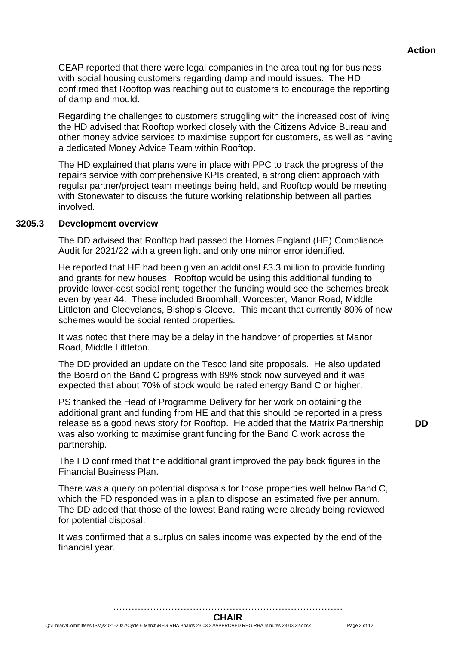CEAP reported that there were legal companies in the area touting for business with social housing customers regarding damp and mould issues. The HD confirmed that Rooftop was reaching out to customers to encourage the reporting of damp and mould.

Regarding the challenges to customers struggling with the increased cost of living the HD advised that Rooftop worked closely with the Citizens Advice Bureau and other money advice services to maximise support for customers, as well as having a dedicated Money Advice Team within Rooftop.

The HD explained that plans were in place with PPC to track the progress of the repairs service with comprehensive KPIs created, a strong client approach with regular partner/project team meetings being held, and Rooftop would be meeting with Stonewater to discuss the future working relationship between all parties involved.

### **3205.3 Development overview**

The DD advised that Rooftop had passed the Homes England (HE) Compliance Audit for 2021/22 with a green light and only one minor error identified.

He reported that HE had been given an additional £3.3 million to provide funding and grants for new houses. Rooftop would be using this additional funding to provide lower-cost social rent; together the funding would see the schemes break even by year 44. These included Broomhall, Worcester, Manor Road, Middle Littleton and Cleevelands, Bishop's Cleeve. This meant that currently 80% of new schemes would be social rented properties.

It was noted that there may be a delay in the handover of properties at Manor Road, Middle Littleton.

The DD provided an update on the Tesco land site proposals. He also updated the Board on the Band C progress with 89% stock now surveyed and it was expected that about 70% of stock would be rated energy Band C or higher.

PS thanked the Head of Programme Delivery for her work on obtaining the additional grant and funding from HE and that this should be reported in a press release as a good news story for Rooftop. He added that the Matrix Partnership was also working to maximise grant funding for the Band C work across the partnership.

The FD confirmed that the additional grant improved the pay back figures in the Financial Business Plan.

There was a query on potential disposals for those properties well below Band C, which the FD responded was in a plan to dispose an estimated five per annum. The DD added that those of the lowest Band rating were already being reviewed for potential disposal.

It was confirmed that a surplus on sales income was expected by the end of the financial year.

**DD**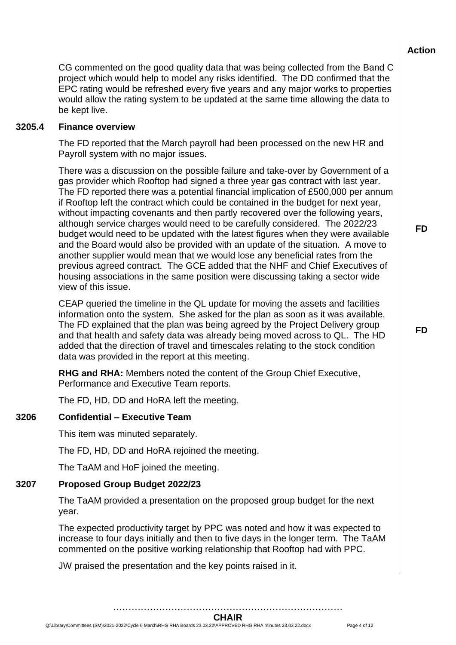CG commented on the good quality data that was being collected from the Band C project which would help to model any risks identified. The DD confirmed that the EPC rating would be refreshed every five years and any major works to properties would allow the rating system to be updated at the same time allowing the data to be kept live.

### **3205.4 Finance overview**

The FD reported that the March payroll had been processed on the new HR and Payroll system with no major issues.

There was a discussion on the possible failure and take-over by Government of a gas provider which Rooftop had signed a three year gas contract with last year. The FD reported there was a potential financial implication of £500,000 per annum if Rooftop left the contract which could be contained in the budget for next year, without impacting covenants and then partly recovered over the following years, although service charges would need to be carefully considered. The 2022/23 budget would need to be updated with the latest figures when they were available and the Board would also be provided with an update of the situation. A move to another supplier would mean that we would lose any beneficial rates from the previous agreed contract. The GCE added that the NHF and Chief Executives of housing associations in the same position were discussing taking a sector wide view of this issue.

CEAP queried the timeline in the QL update for moving the assets and facilities information onto the system. She asked for the plan as soon as it was available. The FD explained that the plan was being agreed by the Project Delivery group and that health and safety data was already being moved across to QL. The HD added that the direction of travel and timescales relating to the stock condition data was provided in the report at this meeting.

**RHG and RHA:** Members noted the content of the Group Chief Executive, Performance and Executive Team reports.

The FD, HD, DD and HoRA left the meeting.

### **3206 Confidential – Executive Team**

This item was minuted separately.

The FD, HD, DD and HoRA rejoined the meeting.

The TaAM and HoF joined the meeting.

### **3207 Proposed Group Budget 2022/23**

The TaAM provided a presentation on the proposed group budget for the next year.

The expected productivity target by PPC was noted and how it was expected to increase to four days initially and then to five days in the longer term. The TaAM commented on the positive working relationship that Rooftop had with PPC.

JW praised the presentation and the key points raised in it.

**FD**

**FD**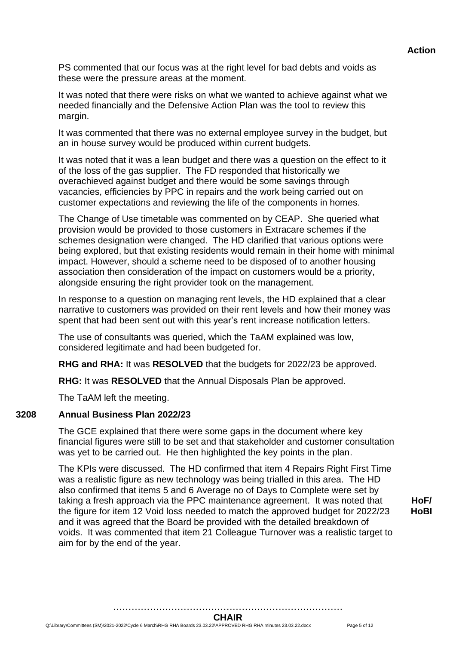PS commented that our focus was at the right level for bad debts and voids as these were the pressure areas at the moment.

It was noted that there were risks on what we wanted to achieve against what we needed financially and the Defensive Action Plan was the tool to review this margin.

It was commented that there was no external employee survey in the budget, but an in house survey would be produced within current budgets.

It was noted that it was a lean budget and there was a question on the effect to it of the loss of the gas supplier. The FD responded that historically we overachieved against budget and there would be some savings through vacancies, efficiencies by PPC in repairs and the work being carried out on customer expectations and reviewing the life of the components in homes.

The Change of Use timetable was commented on by CEAP. She queried what provision would be provided to those customers in Extracare schemes if the schemes designation were changed. The HD clarified that various options were being explored, but that existing residents would remain in their home with minimal impact. However, should a scheme need to be disposed of to another housing association then consideration of the impact on customers would be a priority, alongside ensuring the right provider took on the management.

In response to a question on managing rent levels, the HD explained that a clear narrative to customers was provided on their rent levels and how their money was spent that had been sent out with this year's rent increase notification letters.

The use of consultants was queried, which the TaAM explained was low, considered legitimate and had been budgeted for.

**RHG and RHA:** It was **RESOLVED** that the budgets for 2022/23 be approved.

**RHG:** It was **RESOLVED** that the Annual Disposals Plan be approved.

The TaAM left the meeting.

### **3208 Annual Business Plan 2022/23**

The GCE explained that there were some gaps in the document where key financial figures were still to be set and that stakeholder and customer consultation was yet to be carried out. He then highlighted the key points in the plan.

The KPIs were discussed. The HD confirmed that item 4 Repairs Right First Time was a realistic figure as new technology was being trialled in this area. The HD also confirmed that items 5 and 6 Average no of Days to Complete were set by taking a fresh approach via the PPC maintenance agreement. It was noted that the figure for item 12 Void loss needed to match the approved budget for 2022/23 and it was agreed that the Board be provided with the detailed breakdown of voids. It was commented that item 21 Colleague Turnover was a realistic target to aim for by the end of the year.

**HoF/ HoBI**

………………………………………………………………… **CHAIR**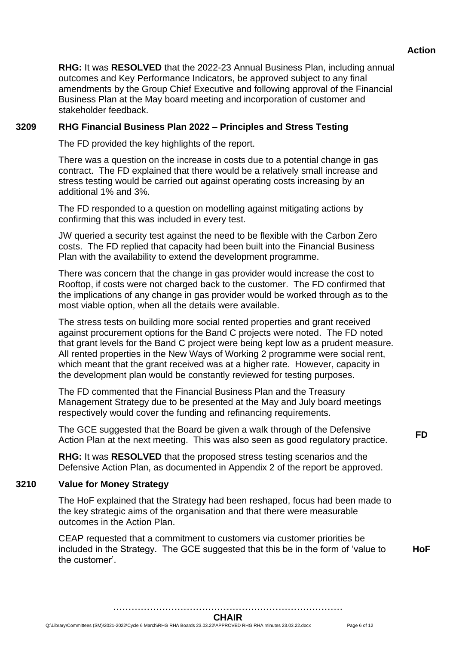**RHG:** It was **RESOLVED** that the 2022-23 Annual Business Plan, including annual outcomes and Key Performance Indicators, be approved subject to any final amendments by the Group Chief Executive and following approval of the Financial Business Plan at the May board meeting and incorporation of customer and stakeholder feedback.

## **3209 RHG Financial Business Plan 2022 – Principles and Stress Testing**

The FD provided the key highlights of the report.

There was a question on the increase in costs due to a potential change in gas contract. The FD explained that there would be a relatively small increase and stress testing would be carried out against operating costs increasing by an additional 1% and 3%.

The FD responded to a question on modelling against mitigating actions by confirming that this was included in every test.

JW queried a security test against the need to be flexible with the Carbon Zero costs. The FD replied that capacity had been built into the Financial Business Plan with the availability to extend the development programme.

There was concern that the change in gas provider would increase the cost to Rooftop, if costs were not charged back to the customer. The FD confirmed that the implications of any change in gas provider would be worked through as to the most viable option, when all the details were available.

The stress tests on building more social rented properties and grant received against procurement options for the Band C projects were noted. The FD noted that grant levels for the Band C project were being kept low as a prudent measure. All rented properties in the New Ways of Working 2 programme were social rent, which meant that the grant received was at a higher rate. However, capacity in the development plan would be constantly reviewed for testing purposes.

The FD commented that the Financial Business Plan and the Treasury Management Strategy due to be presented at the May and July board meetings respectively would cover the funding and refinancing requirements.

The GCE suggested that the Board be given a walk through of the Defensive Action Plan at the next meeting. This was also seen as good regulatory practice. **FD**

**RHG:** It was **RESOLVED** that the proposed stress testing scenarios and the Defensive Action Plan, as documented in Appendix 2 of the report be approved.

## **3210 Value for Money Strategy**

The HoF explained that the Strategy had been reshaped, focus had been made to the key strategic aims of the organisation and that there were measurable outcomes in the Action Plan.

CEAP requested that a commitment to customers via customer priorities be included in the Strategy. The GCE suggested that this be in the form of 'value to the customer'.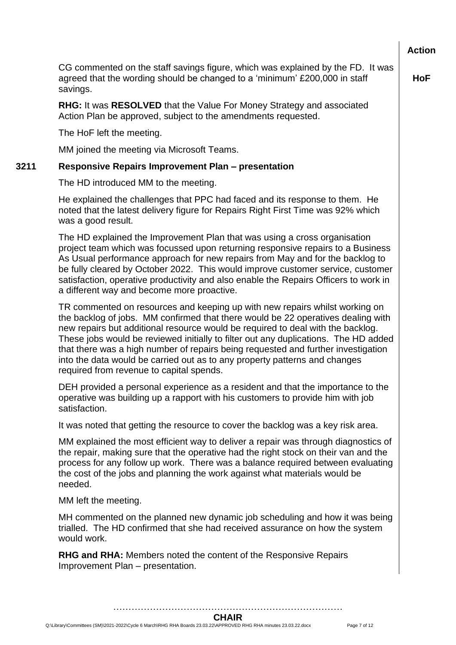**HoF**

CG commented on the staff savings figure, which was explained by the FD. It was agreed that the wording should be changed to a 'minimum' £200,000 in staff savings.

**RHG:** It was **RESOLVED** that the Value For Money Strategy and associated Action Plan be approved, subject to the amendments requested.

The HoF left the meeting.

MM joined the meeting via Microsoft Teams.

### **3211 Responsive Repairs Improvement Plan – presentation**

The HD introduced MM to the meeting.

He explained the challenges that PPC had faced and its response to them. He noted that the latest delivery figure for Repairs Right First Time was 92% which was a good result.

The HD explained the Improvement Plan that was using a cross organisation project team which was focussed upon returning responsive repairs to a Business As Usual performance approach for new repairs from May and for the backlog to be fully cleared by October 2022. This would improve customer service, customer satisfaction, operative productivity and also enable the Repairs Officers to work in a different way and become more proactive.

TR commented on resources and keeping up with new repairs whilst working on the backlog of jobs. MM confirmed that there would be 22 operatives dealing with new repairs but additional resource would be required to deal with the backlog. These jobs would be reviewed initially to filter out any duplications. The HD added that there was a high number of repairs being requested and further investigation into the data would be carried out as to any property patterns and changes required from revenue to capital spends.

DEH provided a personal experience as a resident and that the importance to the operative was building up a rapport with his customers to provide him with job satisfaction.

It was noted that getting the resource to cover the backlog was a key risk area.

MM explained the most efficient way to deliver a repair was through diagnostics of the repair, making sure that the operative had the right stock on their van and the process for any follow up work. There was a balance required between evaluating the cost of the jobs and planning the work against what materials would be needed.

MM left the meeting.

MH commented on the planned new dynamic job scheduling and how it was being trialled. The HD confirmed that she had received assurance on how the system would work.

**RHG and RHA:** Members noted the content of the Responsive Repairs Improvement Plan – presentation.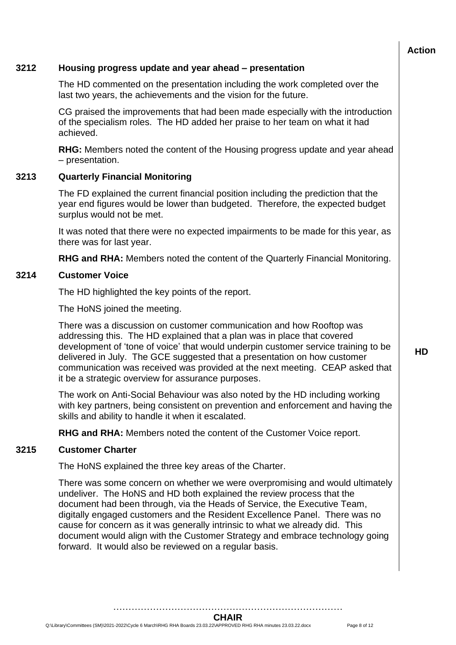# **Action 3212 Housing progress update and year ahead – presentation** The HD commented on the presentation including the work completed over the last two years, the achievements and the vision for the future. CG praised the improvements that had been made especially with the introduction of the specialism roles. The HD added her praise to her team on what it had achieved. **RHG:** Members noted the content of the Housing progress update and year ahead – presentation. **3213 Quarterly Financial Monitoring** The FD explained the current financial position including the prediction that the year end figures would be lower than budgeted. Therefore, the expected budget surplus would not be met. It was noted that there were no expected impairments to be made for this year, as there was for last year. **RHG and RHA:** Members noted the content of the Quarterly Financial Monitoring. **3214 Customer Voice** The HD highlighted the key points of the report. The HoNS joined the meeting. There was a discussion on customer communication and how Rooftop was addressing this. The HD explained that a plan was in place that covered development of 'tone of voice' that would underpin customer service training to be delivered in July. The GCE suggested that a presentation on how customer communication was received was provided at the next meeting. CEAP asked that it be a strategic overview for assurance purposes. The work on Anti-Social Behaviour was also noted by the HD including working with key partners, being consistent on prevention and enforcement and having the skills and ability to handle it when it escalated. **RHG and RHA:** Members noted the content of the Customer Voice report. **3215 Customer Charter** The HoNS explained the three key areas of the Charter.

There was some concern on whether we were overpromising and would ultimately undeliver. The HoNS and HD both explained the review process that the document had been through, via the Heads of Service, the Executive Team, digitally engaged customers and the Resident Excellence Panel. There was no cause for concern as it was generally intrinsic to what we already did. This document would align with the Customer Strategy and embrace technology going forward. It would also be reviewed on a regular basis.

…………………………………………………………………

**HD**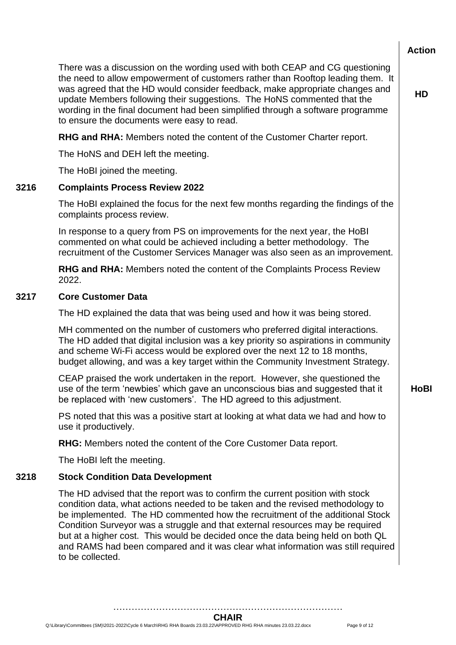**Action** There was a discussion on the wording used with both CEAP and CG questioning the need to allow empowerment of customers rather than Rooftop leading them. It was agreed that the HD would consider feedback, make appropriate changes and update Members following their suggestions. The HoNS commented that the wording in the final document had been simplified through a software programme to ensure the documents were easy to read. **HD RHG and RHA:** Members noted the content of the Customer Charter report. The HoNS and DEH left the meeting. The HoBI joined the meeting. **3216 Complaints Process Review 2022** The HoBI explained the focus for the next few months regarding the findings of the complaints process review. In response to a query from PS on improvements for the next year, the HoBI commented on what could be achieved including a better methodology. The recruitment of the Customer Services Manager was also seen as an improvement. **RHG and RHA:** Members noted the content of the Complaints Process Review 2022. **3217 Core Customer Data** The HD explained the data that was being used and how it was being stored. MH commented on the number of customers who preferred digital interactions. The HD added that digital inclusion was a key priority so aspirations in community and scheme Wi-Fi access would be explored over the next 12 to 18 months, budget allowing, and was a key target within the Community Investment Strategy. CEAP praised the work undertaken in the report. However, she questioned the use of the term 'newbies' which gave an unconscious bias and suggested that it be replaced with 'new customers'. The HD agreed to this adjustment. **HoBI** PS noted that this was a positive start at looking at what data we had and how to use it productively. **RHG:** Members noted the content of the Core Customer Data report. The HoBI left the meeting. **3218 Stock Condition Data Development** The HD advised that the report was to confirm the current position with stock condition data, what actions needed to be taken and the revised methodology to be implemented. The HD commented how the recruitment of the additional Stock Condition Surveyor was a struggle and that external resources may be required but at a higher cost. This would be decided once the data being held on both QL and RAMS had been compared and it was clear what information was still required to be collected.

> ………………………………………………………………… **CHAIR**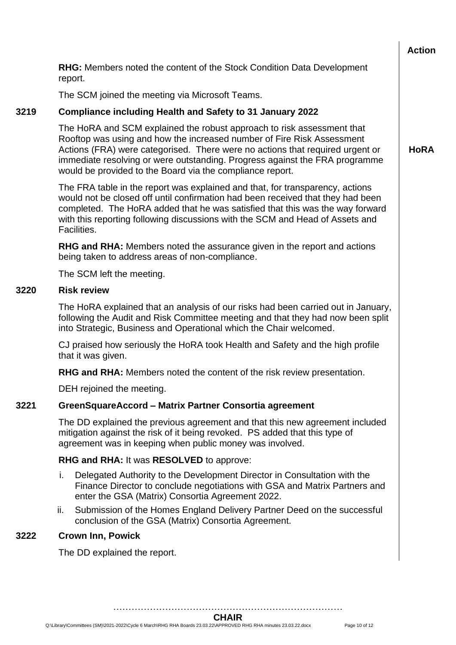**HoRA**

**RHG:** Members noted the content of the Stock Condition Data Development report.

The SCM joined the meeting via Microsoft Teams.

## **3219 Compliance including Health and Safety to 31 January 2022**

The HoRA and SCM explained the robust approach to risk assessment that Rooftop was using and how the increased number of Fire Risk Assessment Actions (FRA) were categorised. There were no actions that required urgent or immediate resolving or were outstanding. Progress against the FRA programme would be provided to the Board via the compliance report.

The FRA table in the report was explained and that, for transparency, actions would not be closed off until confirmation had been received that they had been completed. The HoRA added that he was satisfied that this was the way forward with this reporting following discussions with the SCM and Head of Assets and Facilities.

**RHG and RHA:** Members noted the assurance given in the report and actions being taken to address areas of non-compliance.

The SCM left the meeting.

### **3220 Risk review**

The HoRA explained that an analysis of our risks had been carried out in January, following the Audit and Risk Committee meeting and that they had now been split into Strategic, Business and Operational which the Chair welcomed.

CJ praised how seriously the HoRA took Health and Safety and the high profile that it was given.

**RHG and RHA:** Members noted the content of the risk review presentation.

DEH rejoined the meeting.

## **3221 GreenSquareAccord – Matrix Partner Consortia agreement**

The DD explained the previous agreement and that this new agreement included mitigation against the risk of it being revoked. PS added that this type of agreement was in keeping when public money was involved.

## **RHG and RHA:** It was **RESOLVED** to approve:

- i. Delegated Authority to the Development Director in Consultation with the Finance Director to conclude negotiations with GSA and Matrix Partners and enter the GSA (Matrix) Consortia Agreement 2022.
- ii. Submission of the Homes England Delivery Partner Deed on the successful conclusion of the GSA (Matrix) Consortia Agreement.

## **3222 Crown Inn, Powick**

The DD explained the report.

………………………………………………………………… **CHAIR**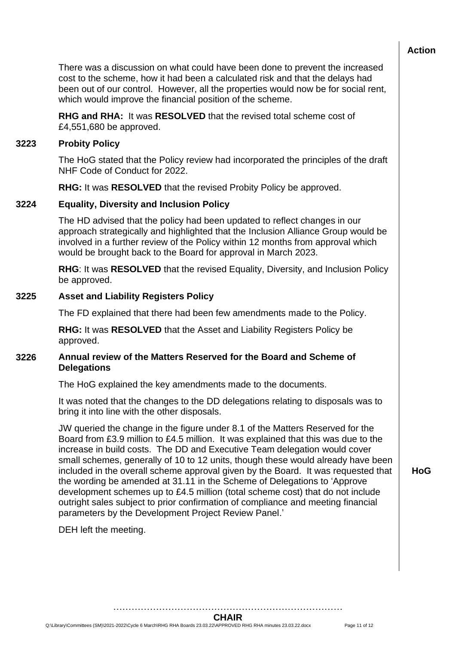There was a discussion on what could have been done to prevent the increased cost to the scheme, how it had been a calculated risk and that the delays had been out of our control. However, all the properties would now be for social rent, which would improve the financial position of the scheme.

**RHG and RHA:** It was **RESOLVED** that the revised total scheme cost of £4,551,680 be approved.

### **3223 Probity Policy**

The HoG stated that the Policy review had incorporated the principles of the draft NHF Code of Conduct for 2022.

**RHG:** It was **RESOLVED** that the revised Probity Policy be approved.

### **3224 Equality, Diversity and Inclusion Policy**

The HD advised that the policy had been updated to reflect changes in our approach strategically and highlighted that the Inclusion Alliance Group would be involved in a further review of the Policy within 12 months from approval which would be brought back to the Board for approval in March 2023.

**RHG**: It was **RESOLVED** that the revised Equality, Diversity, and Inclusion Policy be approved.

### **3225 Asset and Liability Registers Policy**

The FD explained that there had been few amendments made to the Policy.

**RHG:** It was **RESOLVED** that the Asset and Liability Registers Policy be approved.

## **3226 Annual review of the Matters Reserved for the Board and Scheme of Delegations**

The HoG explained the key amendments made to the documents.

It was noted that the changes to the DD delegations relating to disposals was to bring it into line with the other disposals.

JW queried the change in the figure under 8.1 of the Matters Reserved for the Board from £3.9 million to £4.5 million. It was explained that this was due to the increase in build costs. The DD and Executive Team delegation would cover small schemes, generally of 10 to 12 units, though these would already have been included in the overall scheme approval given by the Board. It was requested that the wording be amended at 31.11 in the Scheme of Delegations to 'Approve development schemes up to £4.5 million (total scheme cost) that do not include outright sales subject to prior confirmation of compliance and meeting financial parameters by the Development Project Review Panel.'

DEH left the meeting.

**HoG**